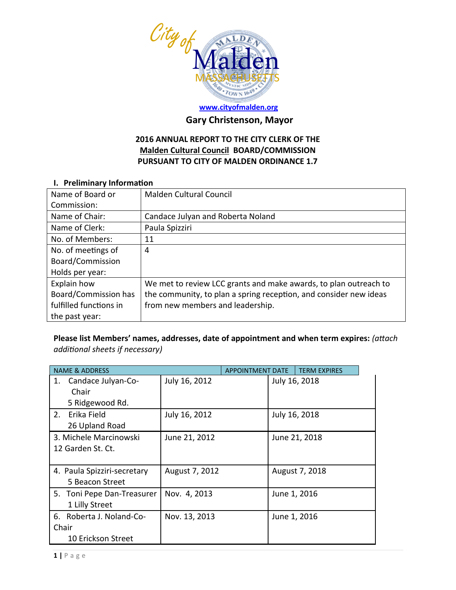

# **[www.cityofmalden.org](http://www.cityofmalden.org/)**

# **Gary Christenson, Mayor**

## **2016 ANNUAL REPORT TO THE CITY CLERK OF THE Malden Cultural Council BOARD/COMMISSION PURSUANT TO CITY OF MALDEN ORDINANCE 1.7**

#### **I. Preliminary Information**

| Name of Board or       | <b>Malden Cultural Council</b>                                    |
|------------------------|-------------------------------------------------------------------|
| Commission:            |                                                                   |
| Name of Chair:         | Candace Julyan and Roberta Noland                                 |
| Name of Clerk:         | Paula Spizziri                                                    |
| No. of Members:        | 11                                                                |
| No. of meetings of     | 4                                                                 |
| Board/Commission       |                                                                   |
| Holds per year:        |                                                                   |
| Explain how            | We met to review LCC grants and make awards, to plan outreach to  |
| Board/Commission has   | the community, to plan a spring reception, and consider new ideas |
| fulfilled functions in | from new members and leadership.                                  |
| the past year:         |                                                                   |

## **Please list Members' names, addresses, date of appointment and when term expires:** *(attach additional sheets if necessary)*

| <b>NAME &amp; ADDRESS</b>         |                | <b>APPOINTMENT DATE</b> | <b>TERM EXPIRES</b> |
|-----------------------------------|----------------|-------------------------|---------------------|
| Candace Julyan-Co-<br>1.<br>Chair | July 16, 2012  |                         | July 16, 2018       |
| 5 Ridgewood Rd.                   |                |                         |                     |
| Erika Field<br>2.                 | July 16, 2012  |                         | July 16, 2018       |
| 26 Upland Road                    |                |                         |                     |
| 3. Michele Marcinowski            | June 21, 2012  |                         | June 21, 2018       |
| 12 Garden St. Ct.                 |                |                         |                     |
|                                   |                |                         |                     |
| 4. Paula Spizziri-secretary       | August 7, 2012 |                         | August 7, 2018      |
| 5 Beacon Street                   |                |                         |                     |
| 5. Toni Pepe Dan-Treasurer        | Nov. 4, 2013   |                         | June 1, 2016        |
| 1 Lilly Street                    |                |                         |                     |
| 6. Roberta J. Noland-Co-          | Nov. 13, 2013  |                         | June 1, 2016        |
| Chair                             |                |                         |                     |
| 10 Erickson Street                |                |                         |                     |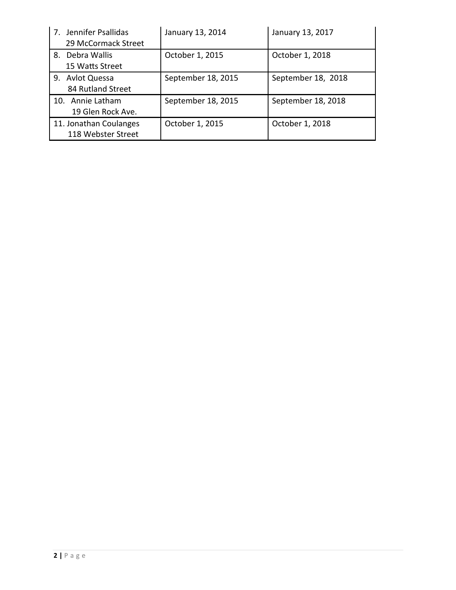| Jennifer Psallidas<br>7 <sub>1</sub><br>29 McCormack Street | January 13, 2014   | January 13, 2017   |
|-------------------------------------------------------------|--------------------|--------------------|
| Debra Wallis<br>8.<br>15 Watts Street                       | October 1, 2015    | October 1, 2018    |
| <b>Avlot Quessa</b><br>9.<br>84 Rutland Street              | September 18, 2015 | September 18, 2018 |
| 10. Annie Latham<br>19 Glen Rock Ave.                       | September 18, 2015 | September 18, 2018 |
| 11. Jonathan Coulanges<br>118 Webster Street                | October 1, 2015    | October 1, 2018    |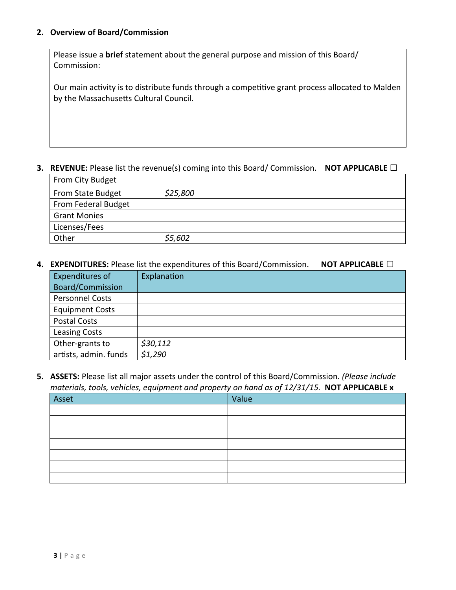#### **2. Overview of Board/Commission**

Please issue a **brief** statement about the general purpose and mission of this Board/ Commission:

Our main activity is to distribute funds through a competitive grant process allocated to Malden by the Massachusetts Cultural Council.

#### **3. REVENUE:** Please list the revenue(s) coming into this Board/ Commission. **NOT APPLICABLE □**

| From City Budget    |          |
|---------------------|----------|
| From State Budget   | \$25,800 |
| From Federal Budget |          |
| <b>Grant Monies</b> |          |
| Licenses/Fees       |          |
| Other               | \$5,602  |

#### **4. EXPENDITURES:** Please list the expenditures of this Board/Commission. **NOT APPLICABLE □**

| Expenditures of         | Explanation |
|-------------------------|-------------|
| <b>Board/Commission</b> |             |
| <b>Personnel Costs</b>  |             |
| <b>Equipment Costs</b>  |             |
| <b>Postal Costs</b>     |             |
| <b>Leasing Costs</b>    |             |
| Other-grants to         | \$30,112    |
| artists, admin. funds   | \$1,290     |

**5. ASSETS:** Please list all major assets under the control of this Board/Commission*. (Please include materials, tools, vehicles, equipment and property on hand as of 12/31/15.* **NOT APPLICABLE x**

| Asset | Value |
|-------|-------|
|       |       |
|       |       |
|       |       |
|       |       |
|       |       |
|       |       |
|       |       |